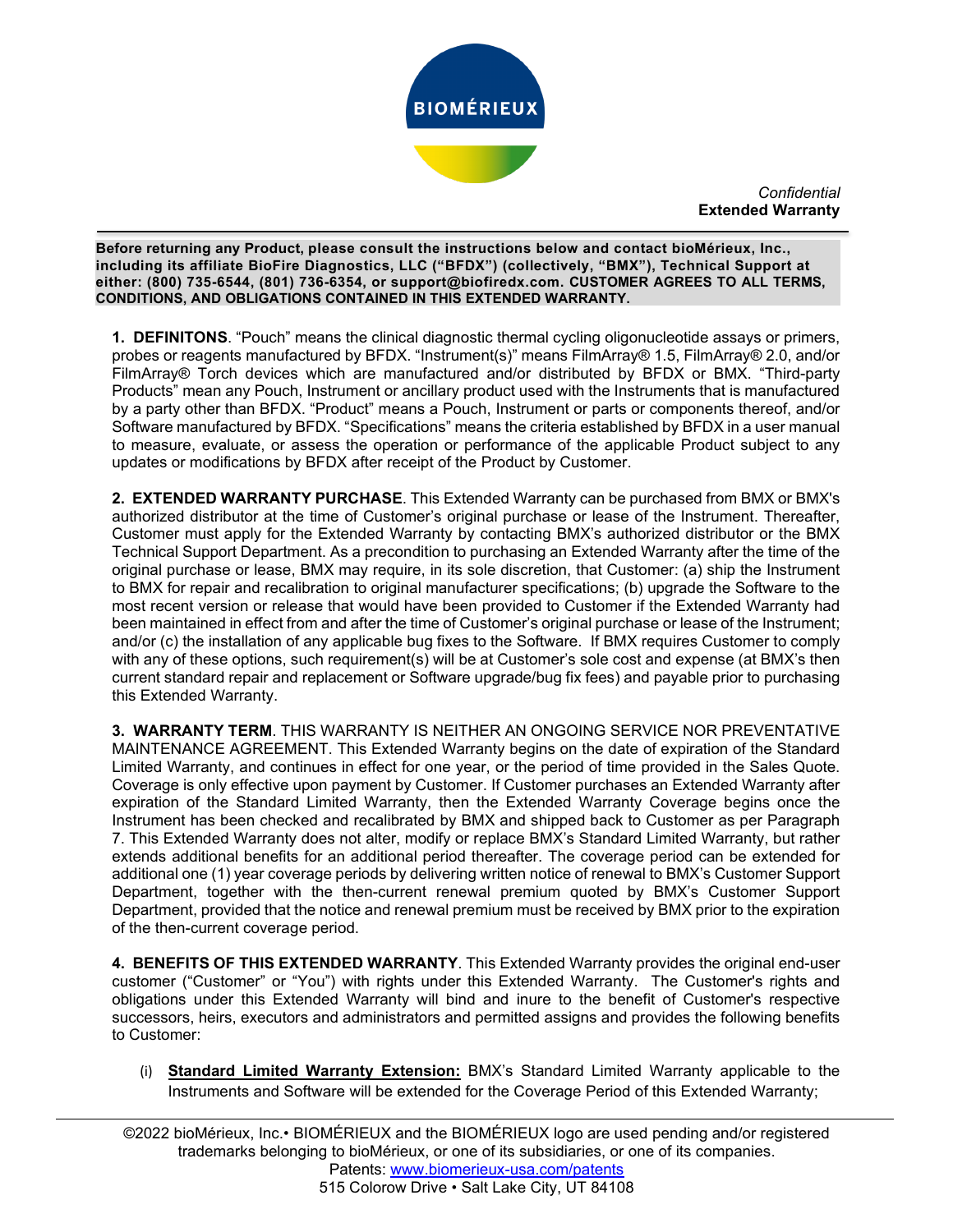

*Confidential* **Extended Warranty**

\ **including its affiliate BioFire Diagnostics, LLC ("BFDX") (collectively, "BMX"), Technical Support at Before returning any Product, please consult the instructions below and contact bioMérieux, Inc., either: (800) 735-6544, (801) 736-6354, or support@biofiredx.com. CUSTOMER AGREES TO ALL TERMS, CONDITIONS, AND OBLIGATIONS CONTAINED IN THIS EXTENDED WARRANTY.**

 $\overline{a}$ 

**1. DEFINITONS**. "Pouch" means the clinical diagnostic thermal cycling oligonucleotide assays or primers, probes or reagents manufactured by BFDX. "Instrument(s)" means FilmArray® 1.5, FilmArray® 2.0, and/or FilmArray® Torch devices which are manufactured and/or distributed by BFDX or BMX. "Third-party Products" mean any Pouch, Instrument or ancillary product used with the Instruments that is manufactured by a party other than BFDX. "Product" means a Pouch, Instrument or parts or components thereof, and/or Software manufactured by BFDX. "Specifications" means the criteria established by BFDX in a user manual to measure, evaluate, or assess the operation or performance of the applicable Product subject to any updates or modifications by BFDX after receipt of the Product by Customer.

**2. EXTENDED WARRANTY PURCHASE**. This Extended Warranty can be purchased from BMX or BMX's authorized distributor at the time of Customer's original purchase or lease of the Instrument. Thereafter, Customer must apply for the Extended Warranty by contacting BMX's authorized distributor or the BMX Technical Support Department. As a precondition to purchasing an Extended Warranty after the time of the original purchase or lease, BMX may require, in its sole discretion, that Customer: (a) ship the Instrument to BMX for repair and recalibration to original manufacturer specifications; (b) upgrade the Software to the most recent version or release that would have been provided to Customer if the Extended Warranty had been maintained in effect from and after the time of Customer's original purchase or lease of the Instrument; and/or (c) the installation of any applicable bug fixes to the Software. If BMX requires Customer to comply with any of these options, such requirement(s) will be at Customer's sole cost and expense (at BMX's then current standard repair and replacement or Software upgrade/bug fix fees) and payable prior to purchasing this Extended Warranty.

**3. WARRANTY TERM**. THIS WARRANTY IS NEITHER AN ONGOING SERVICE NOR PREVENTATIVE MAINTENANCE AGREEMENT. This Extended Warranty begins on the date of expiration of the Standard Limited Warranty, and continues in effect for one year, or the period of time provided in the Sales Quote. Coverage is only effective upon payment by Customer. If Customer purchases an Extended Warranty after expiration of the Standard Limited Warranty, then the Extended Warranty Coverage begins once the Instrument has been checked and recalibrated by BMX and shipped back to Customer as per Paragraph 7. This Extended Warranty does not alter, modify or replace BMX's Standard Limited Warranty, but rather extends additional benefits for an additional period thereafter. The coverage period can be extended for additional one (1) year coverage periods by delivering written notice of renewal to BMX's Customer Support Department, together with the then-current renewal premium quoted by BMX's Customer Support Department, provided that the notice and renewal premium must be received by BMX prior to the expiration of the then-current coverage period.

**4. BENEFITS OF THIS EXTENDED WARRANTY**. This Extended Warranty provides the original end-user customer ("Customer" or "You") with rights under this Extended Warranty. The Customer's rights and obligations under this Extended Warranty will bind and inure to the benefit of Customer's respective successors, heirs, executors and administrators and permitted assigns and provides the following benefits to Customer:

(i) **Standard Limited Warranty Extension:** BMX's Standard Limited Warranty applicable to the Instruments and Software will be extended for the Coverage Period of this Extended Warranty;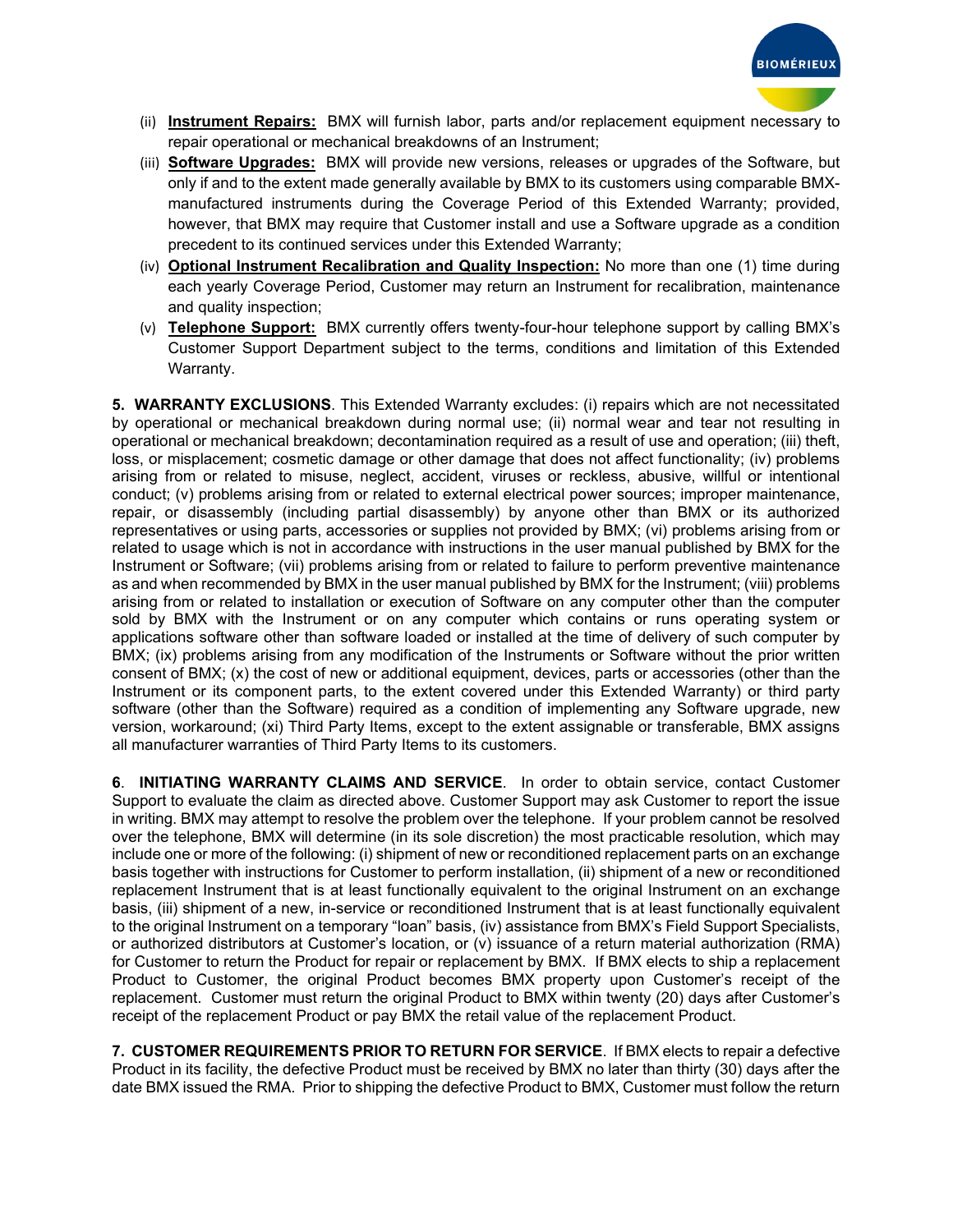

- (ii) **Instrument Repairs:** BMX will furnish labor, parts and/or replacement equipment necessary to repair operational or mechanical breakdowns of an Instrument;
- (iii) **Software Upgrades:** BMX will provide new versions, releases or upgrades of the Software, but only if and to the extent made generally available by BMX to its customers using comparable BMXmanufactured instruments during the Coverage Period of this Extended Warranty; provided, however, that BMX may require that Customer install and use a Software upgrade as a condition precedent to its continued services under this Extended Warranty;
- (iv) **Optional Instrument Recalibration and Quality Inspection:** No more than one (1) time during each yearly Coverage Period, Customer may return an Instrument for recalibration, maintenance and quality inspection;
- (v) **Telephone Support:** BMX currently offers twenty-four-hour telephone support by calling BMX's Customer Support Department subject to the terms, conditions and limitation of this Extended Warranty.

**5. WARRANTY EXCLUSIONS**. This Extended Warranty excludes: (i) repairs which are not necessitated by operational or mechanical breakdown during normal use; (ii) normal wear and tear not resulting in operational or mechanical breakdown; decontamination required as a result of use and operation; (iii) theft, loss, or misplacement; cosmetic damage or other damage that does not affect functionality; (iv) problems arising from or related to misuse, neglect, accident, viruses or reckless, abusive, willful or intentional conduct; (v) problems arising from or related to external electrical power sources; improper maintenance, repair, or disassembly (including partial disassembly) by anyone other than BMX or its authorized representatives or using parts, accessories or supplies not provided by BMX; (vi) problems arising from or related to usage which is not in accordance with instructions in the user manual published by BMX for the Instrument or Software; (vii) problems arising from or related to failure to perform preventive maintenance as and when recommended by BMX in the user manual published by BMX for the Instrument; (viii) problems arising from or related to installation or execution of Software on any computer other than the computer sold by BMX with the Instrument or on any computer which contains or runs operating system or applications software other than software loaded or installed at the time of delivery of such computer by BMX; (ix) problems arising from any modification of the Instruments or Software without the prior written consent of BMX; (x) the cost of new or additional equipment, devices, parts or accessories (other than the Instrument or its component parts, to the extent covered under this Extended Warranty) or third party software (other than the Software) required as a condition of implementing any Software upgrade, new version, workaround; (xi) Third Party Items, except to the extent assignable or transferable, BMX assigns all manufacturer warranties of Third Party Items to its customers.

**6**. **INITIATING WARRANTY CLAIMS AND SERVICE**. In order to obtain service, contact Customer Support to evaluate the claim as directed above. Customer Support may ask Customer to report the issue in writing. BMX may attempt to resolve the problem over the telephone. If your problem cannot be resolved over the telephone, BMX will determine (in its sole discretion) the most practicable resolution, which may include one or more of the following: (i) shipment of new or reconditioned replacement parts on an exchange basis together with instructions for Customer to perform installation, (ii) shipment of a new or reconditioned replacement Instrument that is at least functionally equivalent to the original Instrument on an exchange basis, (iii) shipment of a new, in-service or reconditioned Instrument that is at least functionally equivalent to the original Instrument on a temporary "loan" basis, (iv) assistance from BMX's Field Support Specialists, or authorized distributors at Customer's location, or (v) issuance of a return material authorization (RMA) for Customer to return the Product for repair or replacement by BMX. If BMX elects to ship a replacement Product to Customer, the original Product becomes BMX property upon Customer's receipt of the replacement. Customer must return the original Product to BMX within twenty (20) days after Customer's receipt of the replacement Product or pay BMX the retail value of the replacement Product.

**7. CUSTOMER REQUIREMENTS PRIOR TO RETURN FOR SERVICE**.If BMX elects to repair a defective Product in its facility, the defective Product must be received by BMX no later than thirty (30) days after the date BMX issued the RMA. Prior to shipping the defective Product to BMX, Customer must follow the return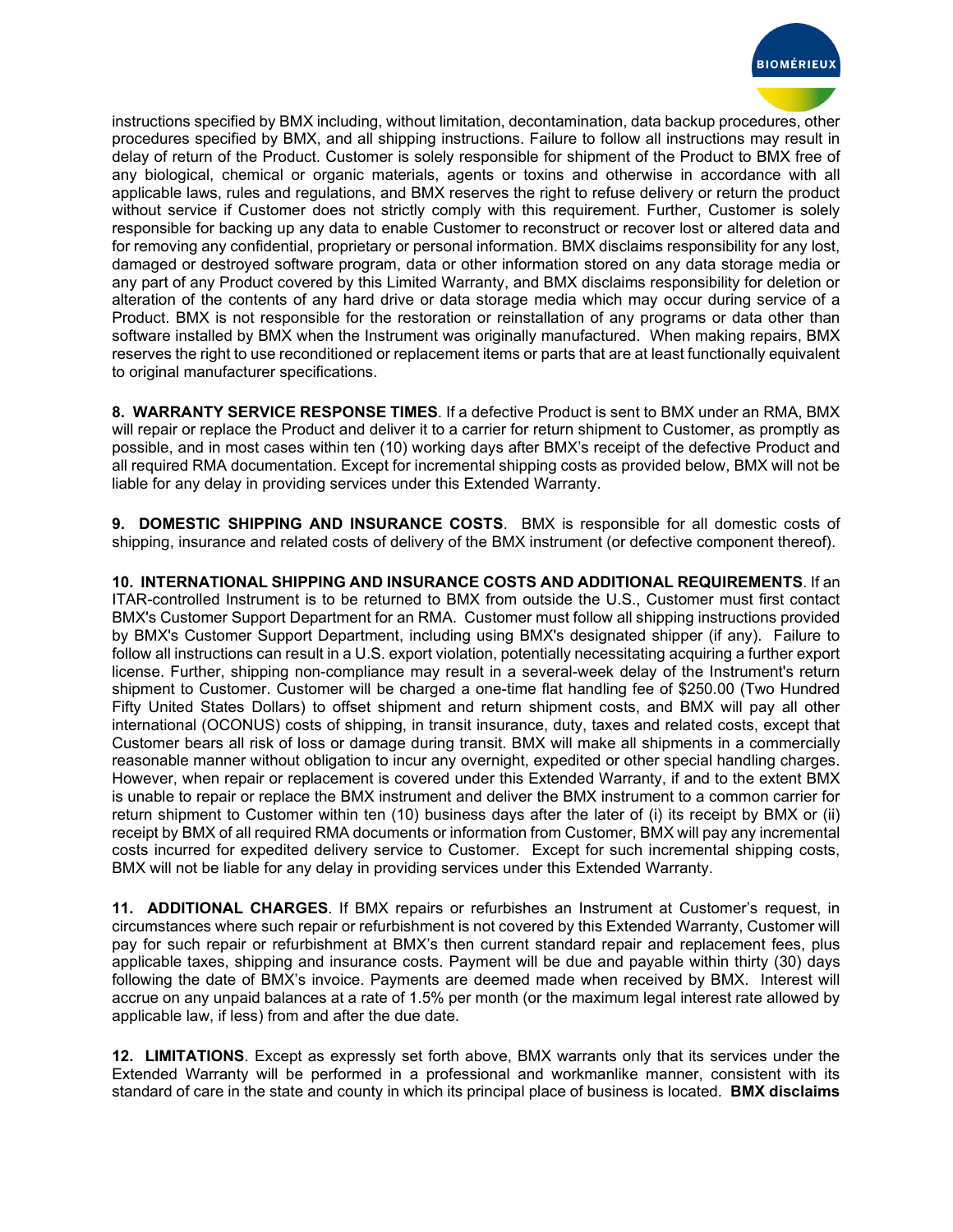

instructions specified by BMX including, without limitation, decontamination, data backup procedures, other procedures specified by BMX, and all shipping instructions. Failure to follow all instructions may result in delay of return of the Product. Customer is solely responsible for shipment of the Product to BMX free of any biological, chemical or organic materials, agents or toxins and otherwise in accordance with all applicable laws, rules and regulations, and BMX reserves the right to refuse delivery or return the product without service if Customer does not strictly comply with this requirement. Further, Customer is solely responsible for backing up any data to enable Customer to reconstruct or recover lost or altered data and for removing any confidential, proprietary or personal information. BMX disclaims responsibility for any lost, damaged or destroyed software program, data or other information stored on any data storage media or any part of any Product covered by this Limited Warranty, and BMX disclaims responsibility for deletion or alteration of the contents of any hard drive or data storage media which may occur during service of a Product. BMX is not responsible for the restoration or reinstallation of any programs or data other than software installed by BMX when the Instrument was originally manufactured. When making repairs, BMX reserves the right to use reconditioned or replacement items or parts that are at least functionally equivalent to original manufacturer specifications.

**8. WARRANTY SERVICE RESPONSE TIMES**. If a defective Product is sent to BMX under an RMA, BMX will repair or replace the Product and deliver it to a carrier for return shipment to Customer, as promptly as possible, and in most cases within ten (10) working days after BMX's receipt of the defective Product and all required RMA documentation. Except for incremental shipping costs as provided below, BMX will not be liable for any delay in providing services under this Extended Warranty.

**9. DOMESTIC SHIPPING AND INSURANCE COSTS**.BMX is responsible for all domestic costs of shipping, insurance and related costs of delivery of the BMX instrument (or defective component thereof).

**10. INTERNATIONAL SHIPPING AND INSURANCE COSTS AND ADDITIONAL REQUIREMENTS**. If an ITAR-controlled Instrument is to be returned to BMX from outside the U.S., Customer must first contact BMX's Customer Support Department for an RMA. Customer must follow all shipping instructions provided by BMX's Customer Support Department, including using BMX's designated shipper (if any). Failure to follow all instructions can result in a U.S. export violation, potentially necessitating acquiring a further export license. Further, shipping non-compliance may result in a several-week delay of the Instrument's return shipment to Customer. Customer will be charged a one-time flat handling fee of \$250.00 (Two Hundred Fifty United States Dollars) to offset shipment and return shipment costs, and BMX will pay all other international (OCONUS) costs of shipping, in transit insurance, duty, taxes and related costs, except that Customer bears all risk of loss or damage during transit. BMX will make all shipments in a commercially reasonable manner without obligation to incur any overnight, expedited or other special handling charges. However, when repair or replacement is covered under this Extended Warranty, if and to the extent BMX is unable to repair or replace the BMX instrument and deliver the BMX instrument to a common carrier for return shipment to Customer within ten (10) business days after the later of (i) its receipt by BMX or (ii) receipt by BMX of all required RMA documents or information from Customer, BMX will pay any incremental costs incurred for expedited delivery service to Customer. Except for such incremental shipping costs, BMX will not be liable for any delay in providing services under this Extended Warranty.

**11. ADDITIONAL CHARGES**. If BMX repairs or refurbishes an Instrument at Customer's request, in circumstances where such repair or refurbishment is not covered by this Extended Warranty, Customer will pay for such repair or refurbishment at BMX's then current standard repair and replacement fees, plus applicable taxes, shipping and insurance costs. Payment will be due and payable within thirty (30) days following the date of BMX's invoice. Payments are deemed made when received by BMX. Interest will accrue on any unpaid balances at a rate of 1.5% per month (or the maximum legal interest rate allowed by applicable law, if less) from and after the due date.

**12. LIMITATIONS**. Except as expressly set forth above, BMX warrants only that its services under the Extended Warranty will be performed in a professional and workmanlike manner, consistent with its standard of care in the state and county in which its principal place of business is located. **BMX disclaims**